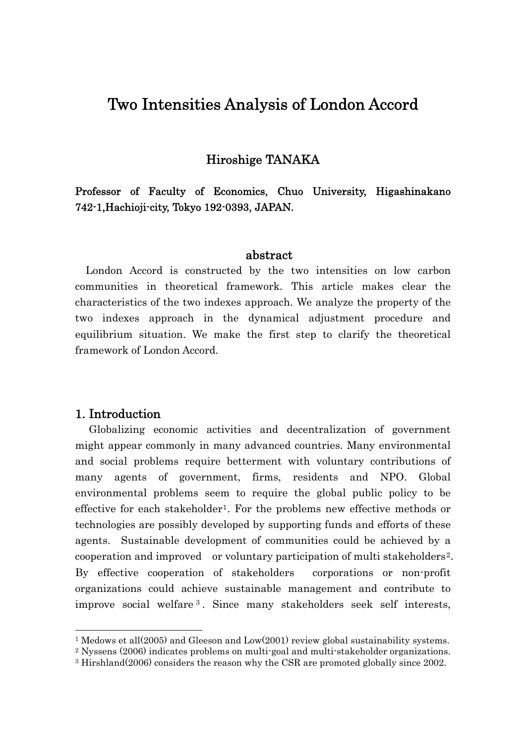# Two Intensities Analysis of London Accord

# Hiroshige TANAKA

Professor of Faculty of Economics, Chuo University, Higashinakano 742-1,Hachioji-city, Tokyo 192-0393, JAPAN.

### abstract

London Accord is constructed by the two intensities on low carbon communities in theoretical framework. This article makes clear the characteristics of the two indexes approach. We analyze the property of the two indexes approach in the dynamical adjustment procedure and equilibrium situation. We make the first step to clarify the theoretical framework of London Accord.

### 1. Introduction

-

Globalizing economic activities and decentralization of government might appear commonly in many advanced countries. Many environmental and social problems require betterment with voluntary contributions of many agents of government, firms, residents and NPO. Global environmental problems seem to require the global public policy to be effective for each stakeholder<sup>[1](#page-0-0)</sup>. For the problems new effective methods or technologies are possibly developed by supporting funds and efforts of these agents. Sustainable development of communities could be achieved by a cooperation and improved or voluntary participation of multi stakeholders[2](#page-0-1). By effective cooperation of stakeholders corporations or non-profit organizations could achieve sustainable management and contribute to improve social welfare [3](#page-0-2) . Since many stakeholders seek self interests,

<span id="page-0-0"></span><sup>&</sup>lt;sup>1</sup> Medows et all(2005) and Gleeson and Low(2001) review global sustainability systems.

<span id="page-0-1"></span><sup>2</sup> Nyssens (2006) indicates problems on multi-goal and multi-stakeholder organizations.

<span id="page-0-2"></span><sup>3</sup> Hirshland(2006) considers the reason why the CSR are promoted globally since 2002.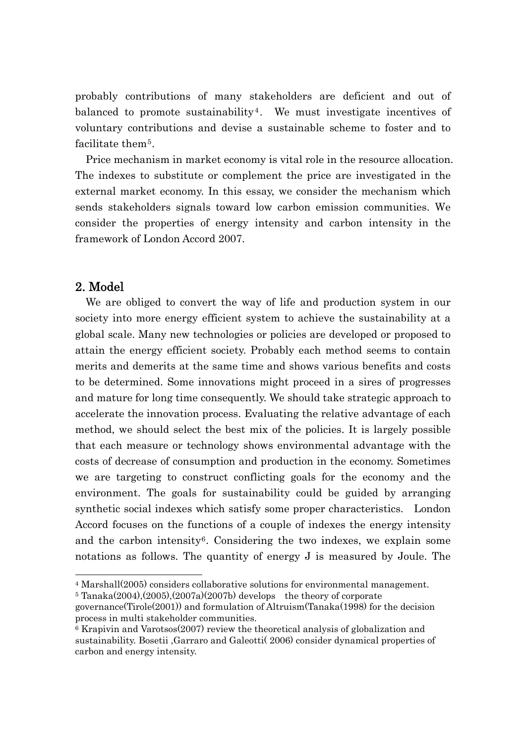probably contributions of many stakeholders are deficient and out of balanced to promote sustainability<sup>[4](#page-1-0)</sup>. We must investigate incentives of voluntary contributions and devise a sustainable scheme to foster and to facilitate them<sup>[5](#page-1-1)</sup>.

Price mechanism in market economy is vital role in the resource allocation. The indexes to substitute or complement the price are investigated in the external market economy. In this essay, we consider the mechanism which sends stakeholders signals toward low carbon emission communities. We consider the properties of energy intensity and carbon intensity in the framework of London Accord 2007.

# 2. Model

-

We are obliged to convert the way of life and production system in our society into more energy efficient system to achieve the sustainability at a global scale. Many new technologies or policies are developed or proposed to attain the energy efficient society. Probably each method seems to contain merits and demerits at the same time and shows various benefits and costs to be determined. Some innovations might proceed in a sires of progresses and mature for long time consequently. We should take strategic approach to accelerate the innovation process. Evaluating the relative advantage of each method, we should select the best mix of the policies. It is largely possible that each measure or technology shows environmental advantage with the costs of decrease of consumption and production in the economy. Sometimes we are targeting to construct conflicting goals for the economy and the environment. The goals for sustainability could be guided by arranging synthetic social indexes which satisfy some proper characteristics. London Accord focuses on the functions of a couple of indexes the energy intensity and the carbon intensity<sup>[6](#page-1-2)</sup>. Considering the two indexes, we explain some notations as follows. The quantity of energy J is measured by Joule. The

<span id="page-1-0"></span><sup>4</sup> Marshall(2005) considers collaborative solutions for environmental management.

<span id="page-1-1"></span> $5$  Tanaka(2004),(2005),(2007a)(2007b) develops the theory of corporate

governance(Tirole(2001)) and formulation of Altruism(Tanaka(1998) for the decision process in multi stakeholder communities.

<span id="page-1-2"></span> $6$  Krapivin and Varotsos(2007) review the theoretical analysis of globalization and sustainability. Bosetii ,Garraro and Galeotti( 2006) consider dynamical properties of carbon and energy intensity.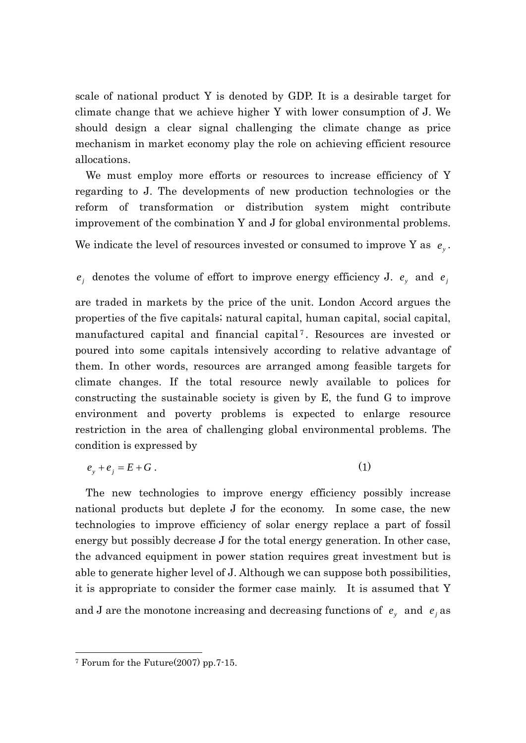scale of national product Y is denoted by GDP. It is a desirable target for climate change that we achieve higher Y with lower consumption of J. We should design a clear signal challenging the climate change as price mechanism in market economy play the role on achieving efficient resource allocations.

We must employ more efforts or resources to increase efficiency of Y regarding to J. The developments of new production technologies or the reform of transformation or distribution system might contribute improvement of the combination Y and J for global environmental problems.

We indicate the level of resources invested or consumed to improve Y as  $e_y$ .

### $e_j$  denotes the volume of effort to improve energy efficiency J.  $e_y$  and  $e_j$

are traded in markets by the price of the unit. London Accord argues the properties of the five capitals; natural capital, human capital, social capital, manufactured capital and financial capital [7](#page-2-0) . Resources are invested or poured into some capitals intensively according to relative advantage of them. In other words, resources are arranged among feasible targets for climate changes. If the total resource newly available to polices for constructing the sustainable society is given by E, the fund G to improve environment and poverty problems is expected to enlarge resource restriction in the area of challenging global environmental problems. The condition is expressed by

$$
e_y + e_j = E + G \tag{1}
$$

The new technologies to improve energy efficiency possibly increase national products but deplete J for the economy. In some case, the new technologies to improve efficiency of solar energy replace a part of fossil energy but possibly decrease J for the total energy generation. In other case, the advanced equipment in power station requires great investment but is able to generate higher level of J. Although we can suppose both possibilities, it is appropriate to consider the former case mainly. It is assumed that Y and J are the monotone increasing and decreasing functions of  $e_y$  and  $e_j$  as

-

<span id="page-2-0"></span><sup>7</sup> Forum for the Future(2007) pp.7-15.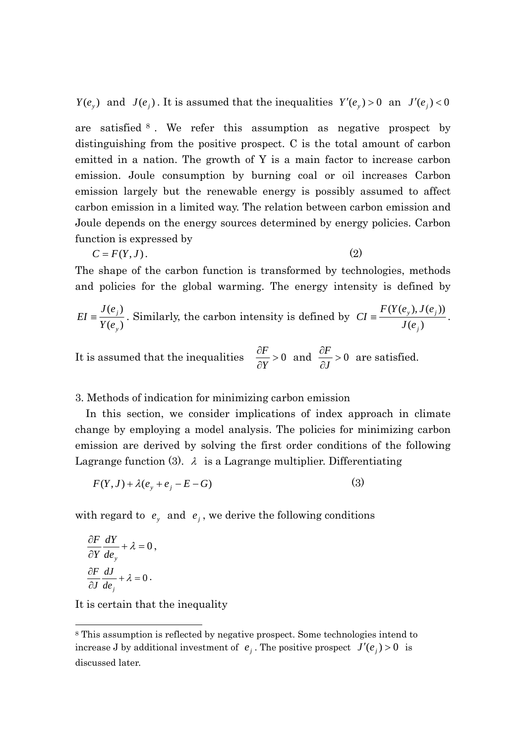$Y(e_y)$  and  $J(e_i)$ . It is assumed that the inequalities  $Y'(e_y) > 0$  an  $J'(e_i) < 0$ 

are satisfied [8](#page-3-0) . We refer this assumption as negative prospect by distinguishing from the positive prospect. C is the total amount of carbon emitted in a nation. The growth of Y is a main factor to increase carbon emission. Joule consumption by burning coal or oil increases Carbon emission largely but the renewable energy is possibly assumed to affect carbon emission in a limited way. The relation between carbon emission and Joule depends on the energy sources determined by energy policies. Carbon function is expressed by

$$
C = F(Y, J). \tag{2}
$$

The shape of the carbon function is transformed by technologies, methods and policies for the global warming. The energy intensity is defined by

$$
EI \equiv \frac{J(e_j)}{Y(e_j)}
$$
. Similarly, the carbon intensity is defined by  $CI \equiv \frac{F(Y(e_y), J(e_j))}{J(e_j)}$ .

It is assumed that the inequalities  $\frac{\alpha}{\alpha} > 0$ ∂ ∂ *Y*  $\frac{\partial F}{\partial x} > 0$  and  $\frac{\partial F}{\partial x} > 0$ ∂ ∂ *J*  $\frac{F}{\sqrt{2}} > 0$  are satisfied.

#### 3. Methods of indication for minimizing carbon emission

In this section, we consider implications of index approach in climate change by employing a model analysis. The policies for minimizing carbon emission are derived by solving the first order conditions of the following Lagrange function (3).  $\lambda$  is a Lagrange multiplier. Differentiating

$$
F(Y, J) + \lambda (e_y + e_j - E - G) \tag{3}
$$

with regard to  $e_y$  and  $e_j$ , we derive the following conditions

$$
\frac{\partial F}{\partial Y}\frac{dY}{de_y} + \lambda = 0,
$$
  

$$
\frac{\partial F}{\partial J}\frac{dJ}{de_j} + \lambda = 0.
$$

-

It is certain that the inequality

<span id="page-3-0"></span><sup>8</sup> This assumption is reflected by negative prospect. Some technologies intend to increase J by additional investment of  $e_i$ . The positive prospect  $J'(e_i) > 0$  is discussed later.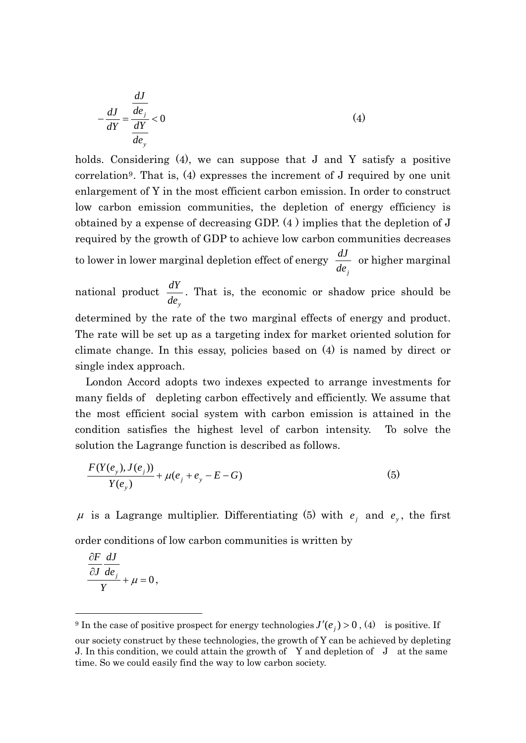$$
-\frac{dJ}{dY} = \frac{\frac{dJ}{de_j}}{\frac{dY}{de_y}} < 0
$$
 (4)

holds. Considering (4), we can suppose that J and Y satisfy a positive correlation[9](#page-4-0). That is, (4) expresses the increment of J required by one unit enlargement of Y in the most efficient carbon emission. In order to construct low carbon emission communities, the depletion of energy efficiency is obtained by a expense of decreasing GDP. (4 ) implies that the depletion of J required by the growth of GDP to achieve low carbon communities decreases to lower in lower marginal depletion effect of energy  $\frac{dJ}{de_j}$  or higher marginal national product  $\frac{dY}{de_y}$ . That is, the economic or shadow price should be

determined by the rate of the two marginal effects of energy and product. The rate will be set up as a targeting index for market oriented solution for climate change. In this essay, policies based on (4) is named by direct or single index approach.

London Accord adopts two indexes expected to arrange investments for many fields of depleting carbon effectively and efficiently. We assume that the most efficient social system with carbon emission is attained in the condition satisfies the highest level of carbon intensity. To solve the solution the Lagrange function is described as follows.

$$
\frac{F(Y(e_y), J(e_j))}{Y(e_y)} + \mu(e_j + e_y - E - G) \tag{5}
$$

 $\mu$  is a Lagrange multiplier. Differentiating (5) with  $e_j$  and  $e_y$ , the first

order conditions of low carbon communities is written by

$$
\frac{\partial F}{\partial J}\frac{dJ}{de_j} + \mu = 0,
$$

-

<span id="page-4-0"></span><sup>&</sup>lt;sup>9</sup> In the case of positive prospect for energy technologies  $J'(e_j) > 0$ , (4) is positive. If our society construct by these technologies, the growth of Y can be achieved by depleting

J. In this condition, we could attain the growth of Y and depletion of J at the same time. So we could easily find the way to low carbon society.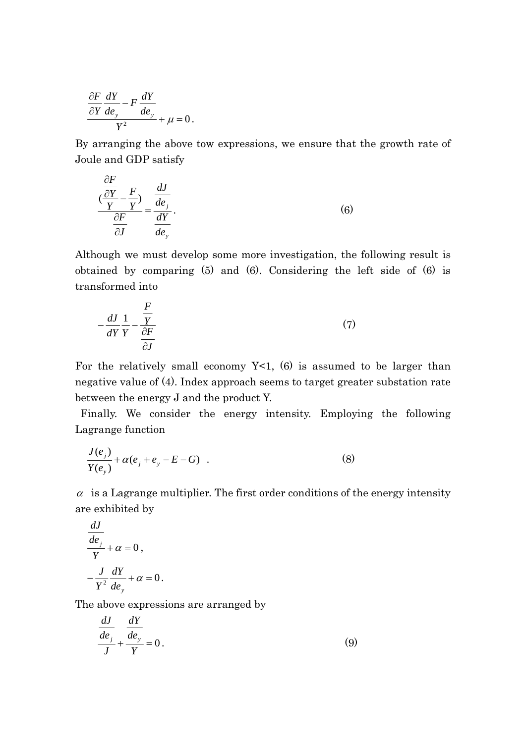$$
\frac{\partial F}{\partial Y}\frac{dY}{de_y} - F\frac{dY}{de_y} + \mu = 0.
$$

By arranging the above tow expressions, we ensure that the growth rate of Joule and GDP satisfy

$$
\frac{\frac{\partial F}{\partial Y}}{\frac{\partial F}{\partial J}} - \frac{F}{Y} = \frac{\frac{dJ}{de_j}}{\frac{dY}{de_y}}.
$$
\n(6)

Although we must develop some more investigation, the following result is obtained by comparing (5) and (6). Considering the left side of (6) is transformed into

$$
-\frac{dJ}{dY}\frac{1}{Y} - \frac{\frac{F}{Y}}{\frac{\partial F}{\partial J}}
$$
(7)

For the relatively small economy  $Y<1$ , (6) is assumed to be larger than negative value of (4). Index approach seems to target greater substation rate between the energy J and the product Y.

 Finally. We consider the energy intensity. Employing the following Lagrange function

$$
\frac{J(e_j)}{Y(e_j)} + \alpha(e_j + e_j - E - G) \quad . \tag{8}
$$

 $\alpha$  is a Lagrange multiplier. The first order conditions of the energy intensity are exhibited by

$$
\frac{dJ}{d e_j}
$$
  
 
$$
Y + \alpha = 0,
$$
  
 
$$
-\frac{J}{Y^2}\frac{dY}{d e_y} + \alpha = 0.
$$

The above expressions are arranged by

$$
\frac{dJ}{de_j} + \frac{dY}{d^2y} = 0.
$$
\n(9)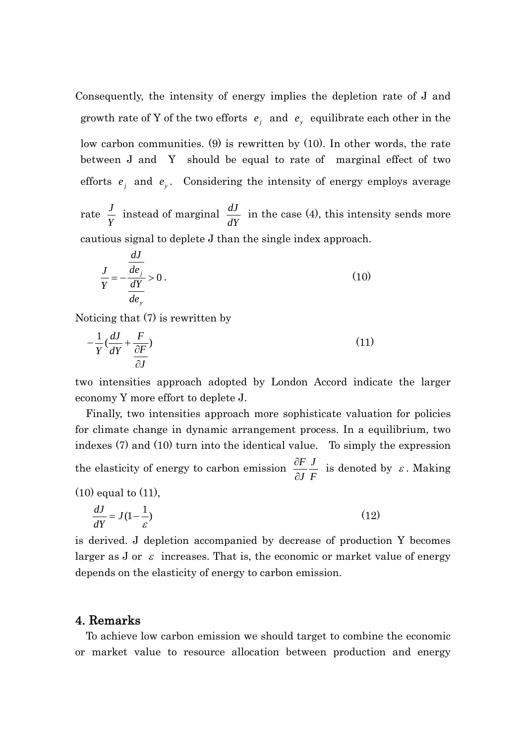Consequently, the intensity of energy implies the depletion rate of J and growth rate of Y of the two efforts  $e_j$  and  $e_y$  equilibrate each other in the low carbon communities. (9) is rewritten by (10). In other words, the rate between J and Y should be equal to rate of marginal effect of two efforts  $e_j$  and  $e_y$ . Considering the intensity of energy employs average

rate  $\frac{J}{Y}$  instead of marginal  $\frac{dJ}{dY}$  in the case (4), this intensity sends more cautious signal to deplete J than the single index approach.

$$
\frac{J}{Y} = -\frac{\frac{dJ}{de_j}}{\frac{dY}{de_y}} > 0.
$$
\n(10)

Noticing that (7) is rewritten by

$$
-\frac{1}{Y}\left(\frac{dJ}{dY} + \frac{F}{\frac{\partial F}{\partial J}}\right) \tag{11}
$$

two intensities approach adopted by London Accord indicate the larger economy Y more effort to deplete J.

 Finally, two intensities approach more sophisticate valuation for policies for climate change in dynamic arrangement process. In a equilibrium, two indexes (7) and (10) turn into the identical value. To simply the expression the elasticity of energy to carbon emission  $\frac{\partial F}{\partial J} \frac{J}{F}$ *J F* ∂  $\frac{\partial F}{\partial x}$  is denoted by  $\varepsilon$ . Making

$$
(10) equal to (11),
$$

$$
\frac{dJ}{dY} = J(1 - \frac{1}{\varepsilon})\tag{12}
$$

is derived. J depletion accompanied by decrease of production Y becomes larger as J or  $\varepsilon$  increases. That is, the economic or market value of energy depends on the elasticity of energy to carbon emission.

### 4. Remarks

 To achieve low carbon emission we should target to combine the economic or market value to resource allocation between production and energy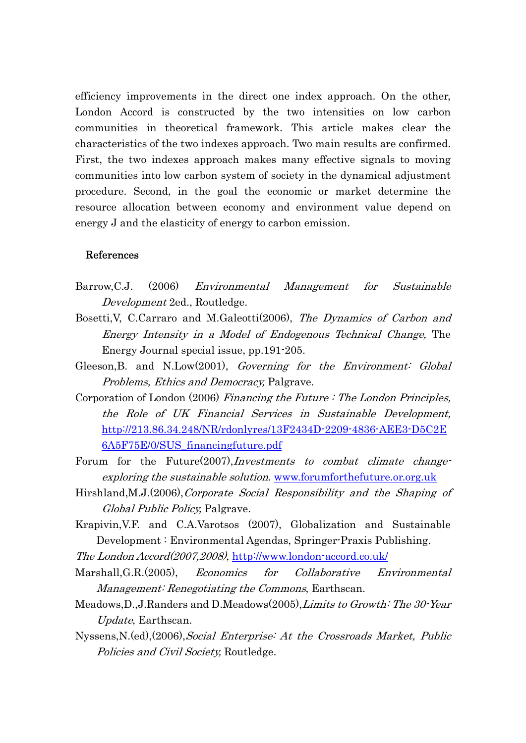efficiency improvements in the direct one index approach. On the other, London Accord is constructed by the two intensities on low carbon communities in theoretical framework. This article makes clear the characteristics of the two indexes approach. Two main results are confirmed. First, the two indexes approach makes many effective signals to moving communities into low carbon system of society in the dynamical adjustment procedure. Second, in the goal the economic or market determine the resource allocation between economy and environment value depend on energy J and the elasticity of energy to carbon emission.

#### References

- Barrow,C.J. (2006) Environmental Management for Sustainable Development 2ed., Routledge.
- Bosetti, V, C.Carraro and M.Galeotti (2006), The Dynamics of Carbon and Energy Intensity in a Model of Endogenous Technical Change, The Energy Journal special issue, pp.191-205.
- Gleeson, B. and N.Low(2001), Governing for the Environment: Global Problems, Ethics and Democracy, Palgrave.
- Corporation of London (2006) Financing the Future : The London Principles, the Role of UK Financial Services in Sustainable Development, [http://213.86.34.248/NR/rdonlyres/13F2434D-2209-4836-AEE3-D5C2E](http://213.86.34.248/NR/rdonlyres/13F2434D-2209-4836-AEE3-D5C2E6A5F75E/0/SUS_financingfuture.pdf) [6A5F75E/0/SUS\\_financingfuture.pdf](http://213.86.34.248/NR/rdonlyres/13F2434D-2209-4836-AEE3-D5C2E6A5F75E/0/SUS_financingfuture.pdf)
- Forum for the Future(2007),*Investments to combat climate change*exploring the sustainable solution. [www.forumforthefuture.or.org.uk](http://www.forumforthefuture.or.org.uk/)
- Hirshland,M.J.(2006),Corporate Social Responsibility and the Shaping of Global Public Policy, Palgrave.
- Krapivin,V.F. and C.A.Varotsos (2007), Globalization and Sustainable Development : Environmental Agendas, Springer-Praxis Publishing.
- The London Accord(2007,2008), <http://www.london-accord.co.uk/>
- Marshall,G.R.(2005), Economics for Collaborative Environmental Management: Renegotiating the Commons, Earthscan.
- Meadows,D.,J.Randers and D.Meadows(2005),Limits to Growth: The 30-Year Update, Earthscan.
- Nyssens,N.(ed),(2006),Social Enterprise: At the Crossroads Market, Public Policies and Civil Society, Routledge.